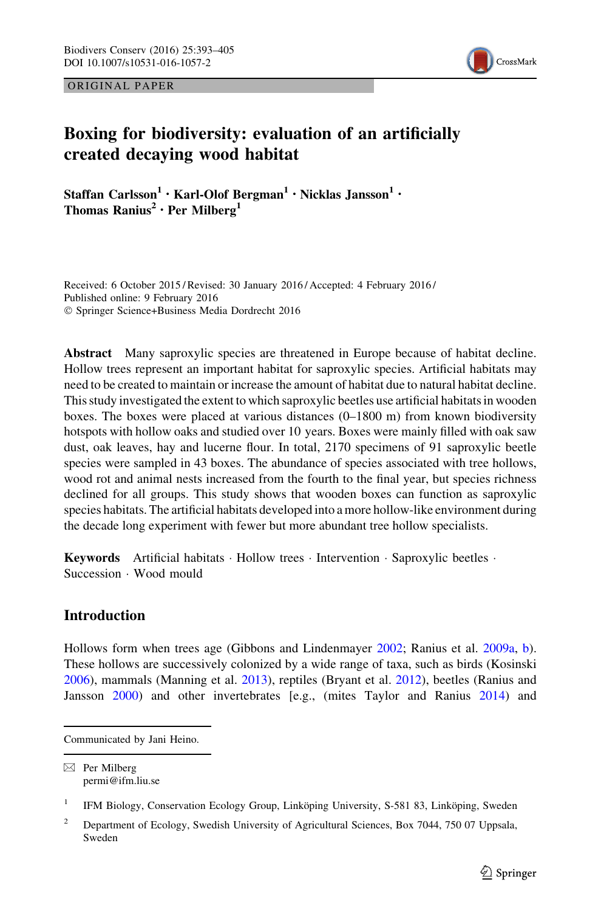ORIGINAL PAPER



# Boxing for biodiversity: evaluation of an artificially created decaying wood habitat

Staffan Carlsson<sup>1</sup> • Karl-Olof Bergman<sup>1</sup> • Nicklas Jansson<sup>1</sup> • Thomas Ranius<sup>2</sup> · Per Milberg<sup>1</sup>

Received: 6 October 2015 / Revised: 30 January 2016 / Accepted: 4 February 2016 / Published online: 9 February 2016 - Springer Science+Business Media Dordrecht 2016

Abstract Many saproxylic species are threatened in Europe because of habitat decline. Hollow trees represent an important habitat for saproxylic species. Artificial habitats may need to be created to maintain or increase the amount of habitat due to natural habitat decline. This study investigated the extent to which saproxylic beetles use artificial habitats in wooden boxes. The boxes were placed at various distances (0–1800 m) from known biodiversity hotspots with hollow oaks and studied over 10 years. Boxes were mainly filled with oak saw dust, oak leaves, hay and lucerne flour. In total, 2170 specimens of 91 saproxylic beetle species were sampled in 43 boxes. The abundance of species associated with tree hollows, wood rot and animal nests increased from the fourth to the final year, but species richness declined for all groups. This study shows that wooden boxes can function as saproxylic species habitats. The artificial habitats developed into a more hollow-like environment during the decade long experiment with fewer but more abundant tree hollow specialists.

Keywords Artificial habitats · Hollow trees · Intervention · Saproxylic beetles · Succession - Wood mould

# Introduction

Hollows form when trees age (Gibbons and Lindenmayer [2002;](#page-11-0) Ranius et al. [2009a,](#page-12-0) [b](#page-12-0)). These hollows are successively colonized by a wide range of taxa, such as birds (Kosinski [2006\)](#page-12-0), mammals (Manning et al. [2013\)](#page-12-0), reptiles (Bryant et al. [2012](#page-11-0)), beetles (Ranius and Jansson [2000](#page-12-0)) and other invertebrates [e.g., (mites Taylor and Ranius [2014\)](#page-12-0) and

Communicated by Jani Heino.

 $\boxtimes$  Per Milberg permi@ifm.liu.se

<sup>&</sup>lt;sup>1</sup> IFM Biology, Conservation Ecology Group, Linköping University, S-581 83, Linköping, Sweden

<sup>&</sup>lt;sup>2</sup> Department of Ecology, Swedish University of Agricultural Sciences, Box 7044, 750 07 Uppsala, Sweden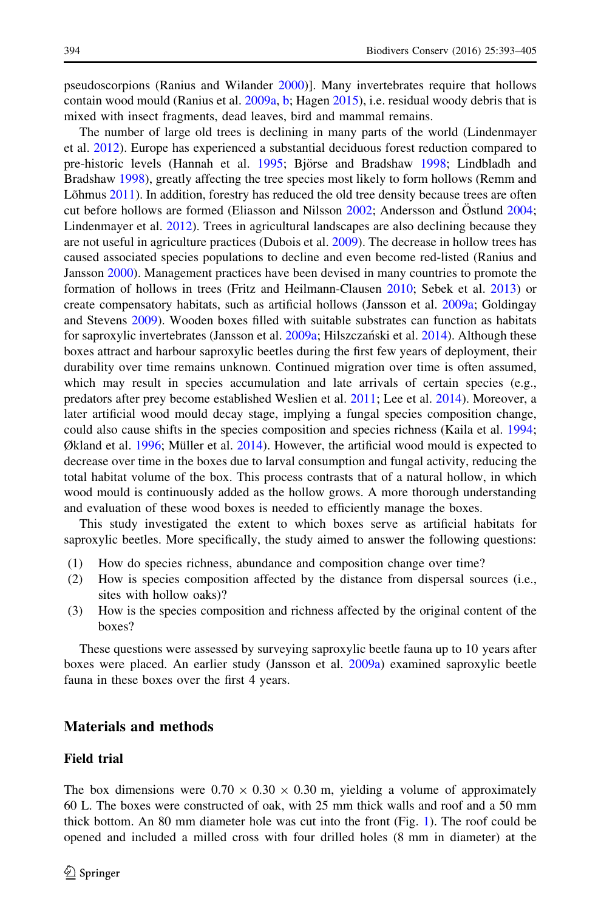pseudoscorpions (Ranius and Wilander [2000\)](#page-12-0)]. Many invertebrates require that hollows contain wood mould (Ranius et al. [2009a](#page-12-0), [b;](#page-12-0) Hagen [2015](#page-11-0)), i.e. residual woody debris that is mixed with insect fragments, dead leaves, bird and mammal remains.

The number of large old trees is declining in many parts of the world (Lindenmayer et al. [2012](#page-12-0)). Europe has experienced a substantial deciduous forest reduction compared to pre-historic levels (Hannah et al. [1995](#page-11-0); Björse and Bradshaw [1998](#page-11-0); Lindbladh and Bradshaw [1998](#page-12-0)), greatly affecting the tree species most likely to form hollows (Remm and Lõhmus  $2011$ ). In addition, forestry has reduced the old tree density because trees are often cut before hollows are formed (Eliasson and Nilsson  $2002$ ; Andersson and Östlund [2004;](#page-11-0) Lindenmayer et al. [2012\)](#page-12-0). Trees in agricultural landscapes are also declining because they are not useful in agriculture practices (Dubois et al. [2009\)](#page-11-0). The decrease in hollow trees has caused associated species populations to decline and even become red-listed (Ranius and Jansson [2000\)](#page-12-0). Management practices have been devised in many countries to promote the formation of hollows in trees (Fritz and Heilmann-Clausen [2010](#page-11-0); Sebek et al. [2013\)](#page-12-0) or create compensatory habitats, such as artificial hollows (Jansson et al. [2009a;](#page-11-0) Goldingay and Stevens [2009](#page-11-0)). Wooden boxes filled with suitable substrates can function as habitats for saproxylic invertebrates (Jansson et al. [2009a;](#page-11-0) Hilszczański et al. [2014](#page-11-0)). Although these boxes attract and harbour saproxylic beetles during the first few years of deployment, their durability over time remains unknown. Continued migration over time is often assumed, which may result in species accumulation and late arrivals of certain species (e.g., predators after prey become established Weslien et al. [2011](#page-12-0); Lee et al. [2014\)](#page-12-0). Moreover, a later artificial wood mould decay stage, implying a fungal species composition change, could also cause shifts in the species composition and species richness (Kaila et al. [1994;](#page-12-0) Økland et al. [1996;](#page-12-0) Müller et al.  $2014$ ). However, the artificial wood mould is expected to decrease over time in the boxes due to larval consumption and fungal activity, reducing the total habitat volume of the box. This process contrasts that of a natural hollow, in which wood mould is continuously added as the hollow grows. A more thorough understanding and evaluation of these wood boxes is needed to efficiently manage the boxes.

This study investigated the extent to which boxes serve as artificial habitats for saproxylic beetles. More specifically, the study aimed to answer the following questions:

- (1) How do species richness, abundance and composition change over time?
- (2) How is species composition affected by the distance from dispersal sources (i.e., sites with hollow oaks)?
- (3) How is the species composition and richness affected by the original content of the boxes?

These questions were assessed by surveying saproxylic beetle fauna up to 10 years after boxes were placed. An earlier study (Jansson et al. [2009a](#page-11-0)) examined saproxylic beetle fauna in these boxes over the first 4 years.

# Materials and methods

#### Field trial

The box dimensions were  $0.70 \times 0.30 \times 0.30$  m, yielding a volume of approximately 60 L. The boxes were constructed of oak, with 25 mm thick walls and roof and a 50 mm thick bottom. An 80 mm diameter hole was cut into the front (Fig. [1](#page-2-0)). The roof could be opened and included a milled cross with four drilled holes (8 mm in diameter) at the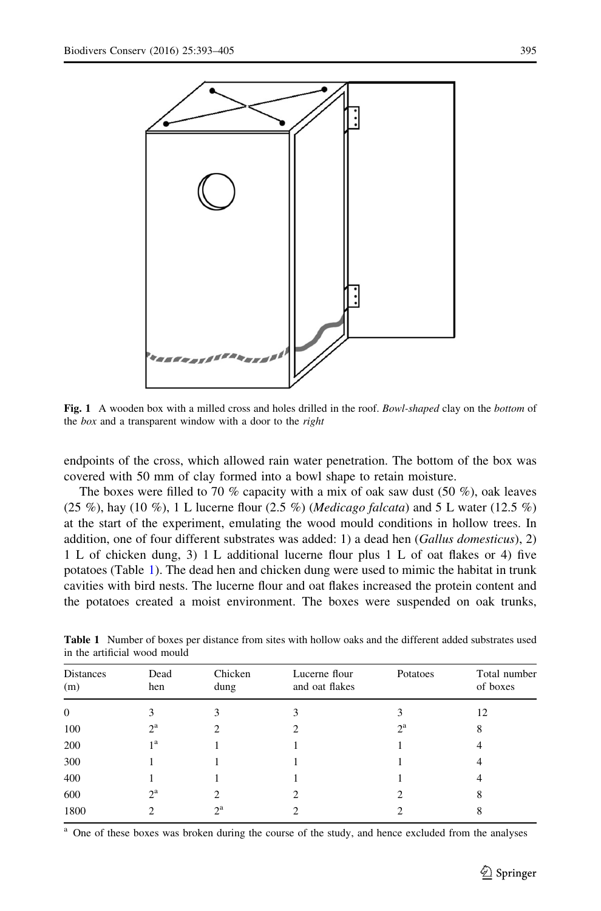<span id="page-2-0"></span>

Fig. 1 A wooden box with a milled cross and holes drilled in the roof. Bowl-shaped clay on the bottom of the box and a transparent window with a door to the right

endpoints of the cross, which allowed rain water penetration. The bottom of the box was covered with 50 mm of clay formed into a bowl shape to retain moisture.

The boxes were filled to 70 % capacity with a mix of oak saw dust  $(50 \%)$ , oak leaves (25 %), hay (10 %), 1 L lucerne flour (2.5 %) (*Medicago falcata*) and 5 L water (12.5 %) at the start of the experiment, emulating the wood mould conditions in hollow trees. In addition, one of four different substrates was added: 1) a dead hen (Gallus domesticus), 2) 1 L of chicken dung, 3) 1 L additional lucerne flour plus 1 L of oat flakes or 4) five potatoes (Table 1). The dead hen and chicken dung were used to mimic the habitat in trunk cavities with bird nests. The lucerne flour and oat flakes increased the protein content and the potatoes created a moist environment. The boxes were suspended on oak trunks,

| <b>Distances</b><br>(m) | Dead<br>hen      | Chicken<br>dung | Lucerne flour<br>and oat flakes | Potatoes         | Total number<br>of boxes<br>12 |  |
|-------------------------|------------------|-----------------|---------------------------------|------------------|--------------------------------|--|
| $\theta$                | 3                |                 | 3                               |                  |                                |  |
| 100                     | $2^{\mathrm{a}}$ |                 | 2                               | $2^{\mathrm{a}}$ | 8                              |  |
| 200                     | 1 <sup>a</sup>   |                 |                                 |                  |                                |  |
| 300                     |                  |                 |                                 |                  |                                |  |
| 400                     |                  |                 |                                 |                  | 4                              |  |
| 600                     | $2^{\mathrm{a}}$ | 2               | 2                               |                  | 8                              |  |
| 1800                    |                  | $2^{\rm a}$     | ∍                               |                  | 8                              |  |

Table 1 Number of boxes per distance from sites with hollow oaks and the different added substrates used in the artificial wood mould

<sup>a</sup> One of these boxes was broken during the course of the study, and hence excluded from the analyses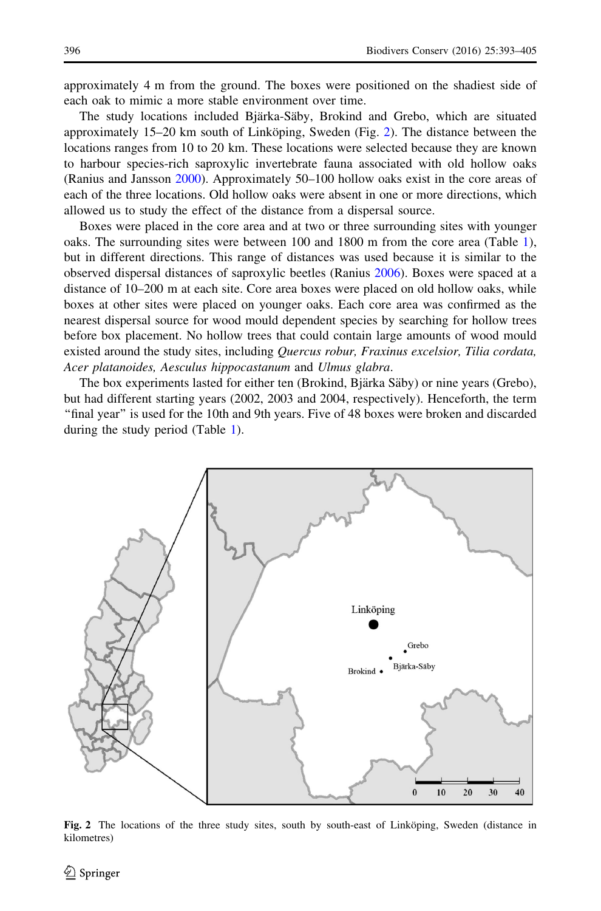approximately 4 m from the ground. The boxes were positioned on the shadiest side of each oak to mimic a more stable environment over time.

The study locations included Bjärka-Säby, Brokind and Grebo, which are situated approximately  $15-20$  km south of Linköping, Sweden (Fig. 2). The distance between the locations ranges from 10 to 20 km. These locations were selected because they are known to harbour species-rich saproxylic invertebrate fauna associated with old hollow oaks (Ranius and Jansson [2000](#page-12-0)). Approximately 50–100 hollow oaks exist in the core areas of each of the three locations. Old hollow oaks were absent in one or more directions, which allowed us to study the effect of the distance from a dispersal source.

Boxes were placed in the core area and at two or three surrounding sites with younger oaks. The surrounding sites were between 100 and 1800 m from the core area (Table [1](#page-2-0)), but in different directions. This range of distances was used because it is similar to the observed dispersal distances of saproxylic beetles (Ranius [2006\)](#page-12-0). Boxes were spaced at a distance of 10–200 m at each site. Core area boxes were placed on old hollow oaks, while boxes at other sites were placed on younger oaks. Each core area was confirmed as the nearest dispersal source for wood mould dependent species by searching for hollow trees before box placement. No hollow trees that could contain large amounts of wood mould existed around the study sites, including Quercus robur, Fraxinus excelsior, Tilia cordata, Acer platanoides, Aesculus hippocastanum and Ulmus glabra.

The box experiments lasted for either ten (Brokind, Bjärka Säby) or nine years (Grebo), but had different starting years (2002, 2003 and 2004, respectively). Henceforth, the term ''final year'' is used for the 10th and 9th years. Five of 48 boxes were broken and discarded during the study period (Table [1](#page-2-0)).



Fig. 2 The locations of the three study sites, south by south-east of Linkoping, Sweden (distance in kilometres)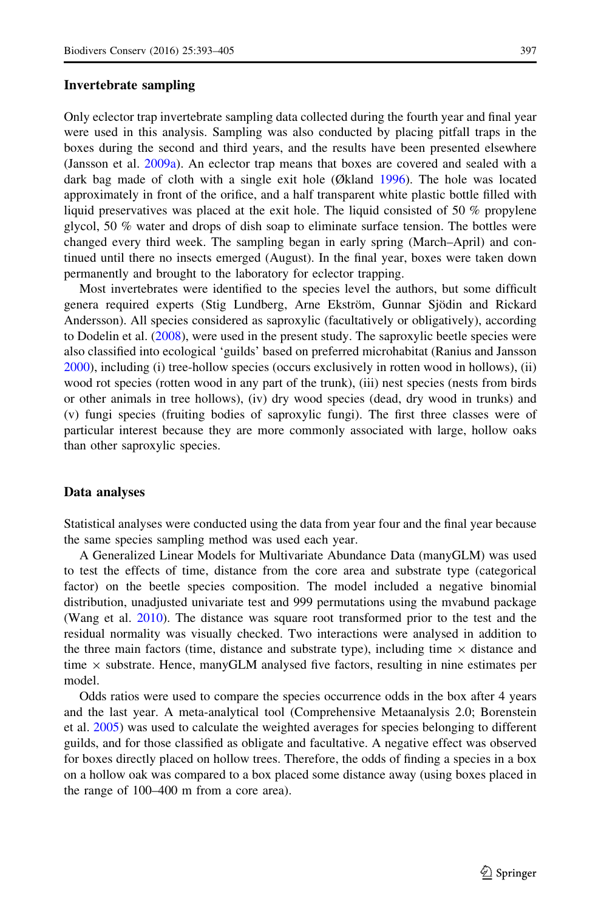#### Invertebrate sampling

Only eclector trap invertebrate sampling data collected during the fourth year and final year were used in this analysis. Sampling was also conducted by placing pitfall traps in the boxes during the second and third years, and the results have been presented elsewhere (Jansson et al. [2009a\)](#page-11-0). An eclector trap means that boxes are covered and sealed with a dark bag made of cloth with a single exit hole (Økland [1996\)](#page-12-0). The hole was located approximately in front of the orifice, and a half transparent white plastic bottle filled with liquid preservatives was placed at the exit hole. The liquid consisted of 50 % propylene glycol, 50 % water and drops of dish soap to eliminate surface tension. The bottles were changed every third week. The sampling began in early spring (March–April) and continued until there no insects emerged (August). In the final year, boxes were taken down permanently and brought to the laboratory for eclector trapping.

Most invertebrates were identified to the species level the authors, but some difficult genera required experts (Stig Lundberg, Arne Ekström, Gunnar Sjödin and Rickard Andersson). All species considered as saproxylic (facultatively or obligatively), according to Dodelin et al. ([2008\)](#page-11-0), were used in the present study. The saproxylic beetle species were also classified into ecological 'guilds' based on preferred microhabitat (Ranius and Jansson [2000\)](#page-12-0), including (i) tree-hollow species (occurs exclusively in rotten wood in hollows), (ii) wood rot species (rotten wood in any part of the trunk), (iii) nest species (nests from birds or other animals in tree hollows), (iv) dry wood species (dead, dry wood in trunks) and (v) fungi species (fruiting bodies of saproxylic fungi). The first three classes were of particular interest because they are more commonly associated with large, hollow oaks than other saproxylic species.

#### Data analyses

Statistical analyses were conducted using the data from year four and the final year because the same species sampling method was used each year.

A Generalized Linear Models for Multivariate Abundance Data (manyGLM) was used to test the effects of time, distance from the core area and substrate type (categorical factor) on the beetle species composition. The model included a negative binomial distribution, unadjusted univariate test and 999 permutations using the mvabund package (Wang et al. [2010](#page-12-0)). The distance was square root transformed prior to the test and the residual normality was visually checked. Two interactions were analysed in addition to the three main factors (time, distance and substrate type), including time  $\times$  distance and time  $\times$  substrate. Hence, manyGLM analysed five factors, resulting in nine estimates per model.

Odds ratios were used to compare the species occurrence odds in the box after 4 years and the last year. A meta-analytical tool (Comprehensive Metaanalysis 2.0; Borenstein et al. [2005](#page-11-0)) was used to calculate the weighted averages for species belonging to different guilds, and for those classified as obligate and facultative. A negative effect was observed for boxes directly placed on hollow trees. Therefore, the odds of finding a species in a box on a hollow oak was compared to a box placed some distance away (using boxes placed in the range of 100–400 m from a core area).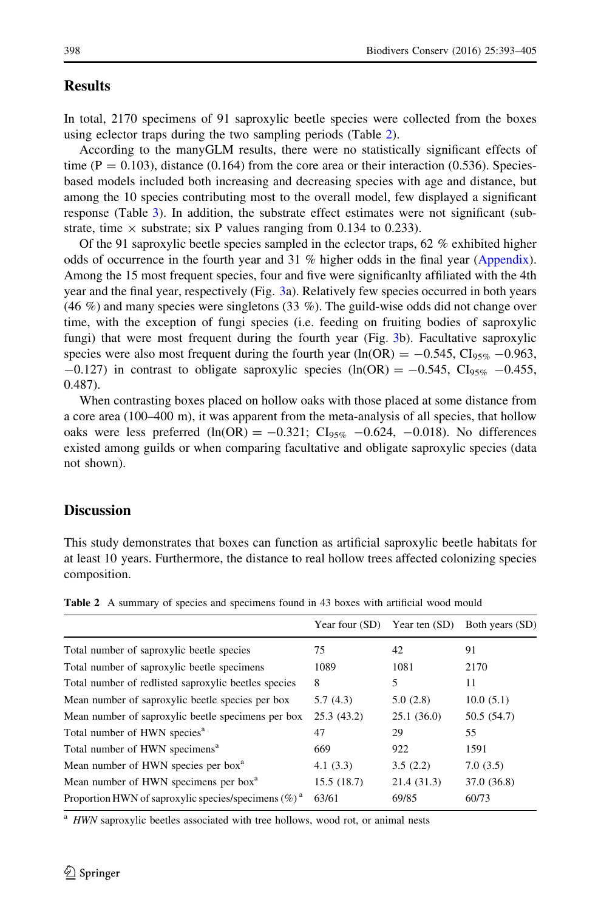### <span id="page-5-0"></span>Results

In total, 2170 specimens of 91 saproxylic beetle species were collected from the boxes using eclector traps during the two sampling periods (Table 2).

According to the manyGLM results, there were no statistically significant effects of time ( $P = 0.103$ ), distance (0.164) from the core area or their interaction (0.536). Speciesbased models included both increasing and decreasing species with age and distance, but among the 10 species contributing most to the overall model, few displayed a significant response (Table [3](#page-6-0)). In addition, the substrate effect estimates were not significant (substrate, time  $\times$  substrate; six P values ranging from 0.134 to 0.233).

Of the 91 saproxylic beetle species sampled in the eclector traps, 62 % exhibited higher odds of occurrence in the fourth year and 31 % higher odds in the final year ([Appendix](#page-8-0)). Among the 15 most frequent species, four and five were significanlty affiliated with the 4th year and the final year, respectively (Fig. [3](#page-7-0)a). Relatively few species occurred in both years (46 %) and many species were singletons (33 %). The guild-wise odds did not change over time, with the exception of fungi species (i.e. feeding on fruiting bodies of saproxylic fungi) that were most frequent during the fourth year (Fig. [3](#page-7-0)b). Facultative saproxylic species were also most frequent during the fourth year (ln(OR) =  $-0.545$ , CI<sub>95%</sub> -0.963,  $-0.127$ ) in contrast to obligate saproxylic species (ln(OR) =  $-0.545$ , Cl<sub>95%</sub>  $-0.455$ , 0.487).

When contrasting boxes placed on hollow oaks with those placed at some distance from a core area (100–400 m), it was apparent from the meta-analysis of all species, that hollow oaks were less preferred (ln(OR) =  $-0.321$ ; CI<sub>95%</sub>  $-0.624$ ,  $-0.018$ ). No differences existed among guilds or when comparing facultative and obligate saproxylic species (data not shown).

## **Discussion**

This study demonstrates that boxes can function as artificial saproxylic beetle habitats for at least 10 years. Furthermore, the distance to real hollow trees affected colonizing species composition.

|                                                         | Year four (SD) | Year ten (SD) | Both years (SD) |
|---------------------------------------------------------|----------------|---------------|-----------------|
| Total number of saproxylic beetle species               | 75             | 42            | 91              |
| Total number of saproxylic beetle specimens             | 1089           | 1081          | 2170            |
| Total number of redlisted saproxylic beetles species    | 8              | 5             | 11              |
| Mean number of saproxylic beetle species per box        | 5.7(4.3)       | 5.0(2.8)      | 10.0(5.1)       |
| Mean number of saproxylic beetle specimens per box      | 25.3(43.2)     | 25.1(36.0)    | 50.5 (54.7)     |
| Total number of HWN species <sup>a</sup>                | 47             | 29            | 55              |
| Total number of HWN specimens <sup>a</sup>              | 669            | 922           | 1591            |
| Mean number of HWN species per box <sup>a</sup>         | 4.1(3.3)       | 3.5(2.2)      | 7.0(3.5)        |
| Mean number of HWN specimens per box <sup>a</sup>       | 15.5(18.7)     | 21.4 (31.3)   | 37.0 (36.8)     |
| Proportion HWN of saproxylic species/specimens $(\%)^a$ | 63/61          | 69/85         | 60/73           |

Table 2 A summary of species and specimens found in 43 boxes with artificial wood mould

<sup>a</sup> HWN saproxylic beetles associated with tree hollows, wood rot, or animal nests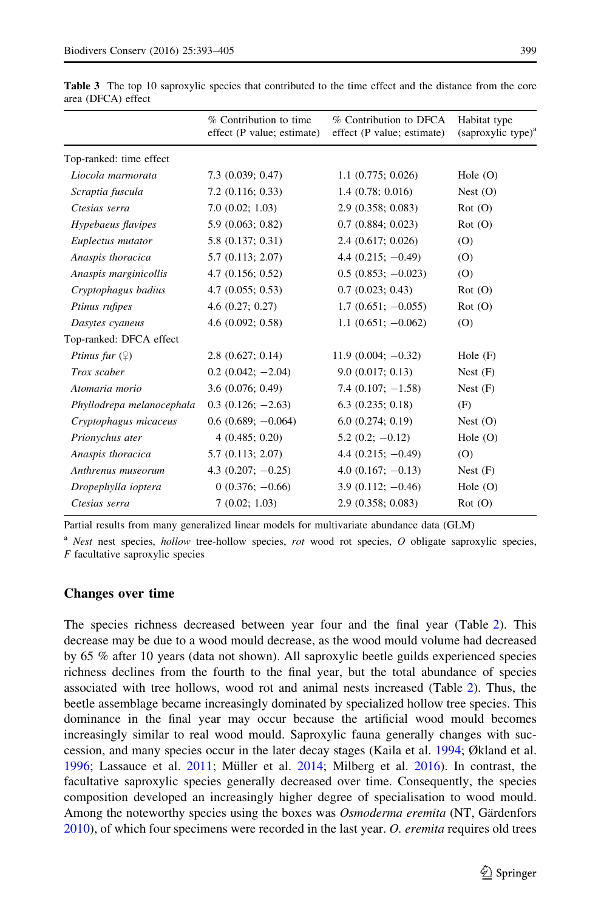|                           | % Contribution to time<br>effect (P value; estimate) | % Contribution to DFCA<br>effect (P value; estimate) | Habitat type<br>(saproxylic type) <sup>a</sup> |  |
|---------------------------|------------------------------------------------------|------------------------------------------------------|------------------------------------------------|--|
| Top-ranked: time effect   |                                                      |                                                      |                                                |  |
| Liocola marmorata         | $7.3$ $(0.039; 0.47)$                                | 1.1(0.775; 0.026)                                    | Hole $(O)$                                     |  |
| Scraptia fuscula          | $7.2$ (0.116; 0.33)                                  | 1.4(0.78; 0.016)                                     | Nest $(O)$                                     |  |
| Ctesias serra             | 7.0(0.02; 1.03)                                      | 2.9(0.358; 0.083)                                    | Rot(0)                                         |  |
| Hypebaeus flavipes        | 5.9(0.063; 0.82)                                     | 0.7(0.884; 0.023)                                    | Rot(O)                                         |  |
| Euplectus mutator         | 5.8 (0.137; 0.31)                                    | 2.4(0.617; 0.026)                                    | (O)                                            |  |
| Anaspis thoracica         | 5.7(0.113; 2.07)                                     | $4.4(0.215; -0.49)$                                  | (O)                                            |  |
| Anaspis marginicollis     | 4.7(0.156; 0.52)                                     | $0.5(0.853; -0.023)$                                 | (O)                                            |  |
| Cryptophagus badius       | 4.7(0.055; 0.53)                                     | 0.7(0.023; 0.43)                                     | Rot(O)                                         |  |
| Ptinus rufipes            | 4.6(0.27; 0.27)                                      | $1.7(0.651;-0.055)$                                  | Rot(O)                                         |  |
| Dasytes cyaneus           | 4.6(0.092; 0.58)                                     | $1.1(0.651;-0.062)$                                  | (O)                                            |  |
| Top-ranked: DFCA effect   |                                                      |                                                      |                                                |  |
| Ptinus fur $(\varphi)$    | 2.8(0.627; 0.14)                                     | $11.9(0.004; -0.32)$                                 | Hole $(F)$                                     |  |
| Trox scaber               | $0.2$ (0.042; $-2.04$ )                              | 9.0(0.017; 0.13)                                     | Nest $(F)$                                     |  |
| Atomaria morio            | 3.6(0.076; 0.49)                                     | 7.4 $(0.107; -1.58)$                                 | Nest $(F)$                                     |  |
| Phyllodrepa melanocephala | $0.3(0.126; -2.63)$                                  | $6.3$ $(0.235; 0.18)$                                | (F)                                            |  |
| Cryptophagus micaceus     | $0.6(0.689; -0.064)$                                 | 6.0(0.274; 0.19)                                     | Nest $(O)$                                     |  |
| Prionychus ater           | 4(0.485; 0.20)                                       | $5.2(0.2; -0.12)$                                    | Hole $(O)$                                     |  |
| Anaspis thoracica         | 5.7(0.113; 2.07)                                     | 4.4 $(0.215; -0.49)$                                 | (O)                                            |  |
| Anthrenus museorum        | $4.3(0.207; -0.25)$                                  | $4.0$ (0.167; $-0.13$ )                              | Nest $(F)$                                     |  |
| Dropephylla ioptera       | $0(0.376; -0.66)$                                    | $3.9(0.112; -0.46)$                                  | Hole $(O)$                                     |  |
| Ctesias serra             | 7(0.02; 1.03)                                        | 2.9 (0.358; 0.083)                                   | Rot(0)                                         |  |
|                           |                                                      |                                                      |                                                |  |

<span id="page-6-0"></span>Table 3 The top 10 saproxylic species that contributed to the time effect and the distance from the core area (DFCA) effect

Partial results from many generalized linear models for multivariate abundance data (GLM)

 $a$  Nest nest species, hollow tree-hollow species, rot wood rot species, O obligate saproxylic species,  $F$  facultative saproxylic species

#### Changes over time

The species richness decreased between year four and the final year (Table [2](#page-5-0)). This decrease may be due to a wood mould decrease, as the wood mould volume had decreased by 65 % after 10 years (data not shown). All saproxylic beetle guilds experienced species richness declines from the fourth to the final year, but the total abundance of species associated with tree hollows, wood rot and animal nests increased (Table [2](#page-5-0)). Thus, the beetle assemblage became increasingly dominated by specialized hollow tree species. This dominance in the final year may occur because the artificial wood mould becomes increasingly similar to real wood mould. Saproxylic fauna generally changes with succession, and many species occur in the later decay stages (Kaila et al. [1994](#page-12-0); Økland et al. [1996;](#page-12-0) Lassauce et al.  $2011$ ; Müller et al.  $2014$ ; Milberg et al.  $2016$ ). In contrast, the facultative saproxylic species generally decreased over time. Consequently, the species composition developed an increasingly higher degree of specialisation to wood mould. Among the noteworthy species using the boxes was *Osmoderma eremita* (NT, Gärdenfors [2010\)](#page-11-0), of which four specimens were recorded in the last year. O. eremita requires old trees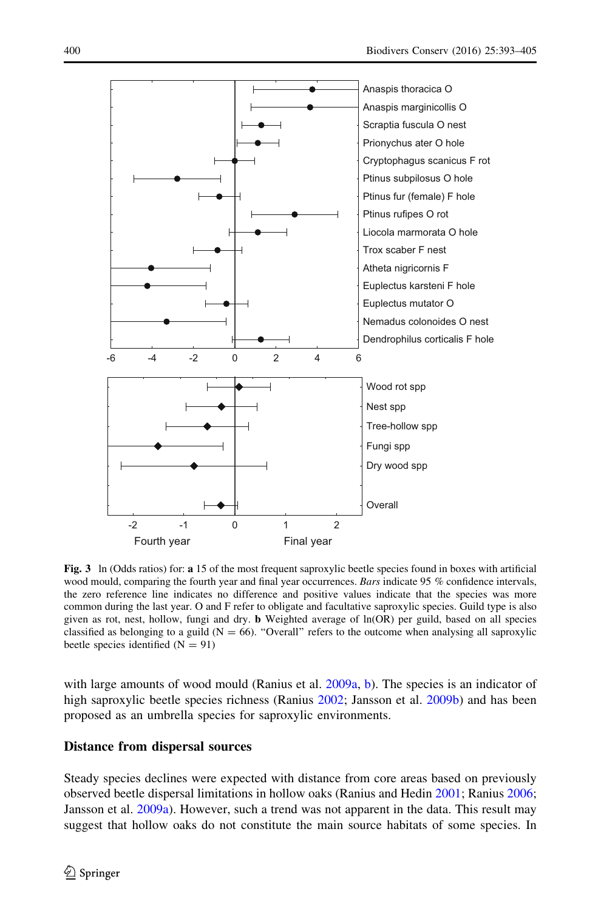<span id="page-7-0"></span>

Fig. 3 ln (Odds ratios) for: a 15 of the most frequent saproxylic beetle species found in boxes with artificial wood mould, comparing the fourth year and final year occurrences. Bars indicate 95 % confidence intervals, the zero reference line indicates no difference and positive values indicate that the species was more common during the last year. O and F refer to obligate and facultative saproxylic species. Guild type is also given as rot, nest, hollow, fungi and dry. b Weighted average of ln(OR) per guild, based on all species classified as belonging to a guild ( $N = 66$ ). "Overall" refers to the outcome when analysing all saproxylic beetle species identified  $(N = 91)$ 

with large amounts of wood mould (Ranius et al. [2009a,](#page-12-0) [b](#page-12-0)). The species is an indicator of high saproxylic beetle species richness (Ranius [2002](#page-12-0); Jansson et al. [2009b\)](#page-11-0) and has been proposed as an umbrella species for saproxylic environments.

#### Distance from dispersal sources

Steady species declines were expected with distance from core areas based on previously observed beetle dispersal limitations in hollow oaks (Ranius and Hedin [2001](#page-12-0); Ranius [2006;](#page-12-0) Jansson et al. [2009a](#page-11-0)). However, such a trend was not apparent in the data. This result may suggest that hollow oaks do not constitute the main source habitats of some species. In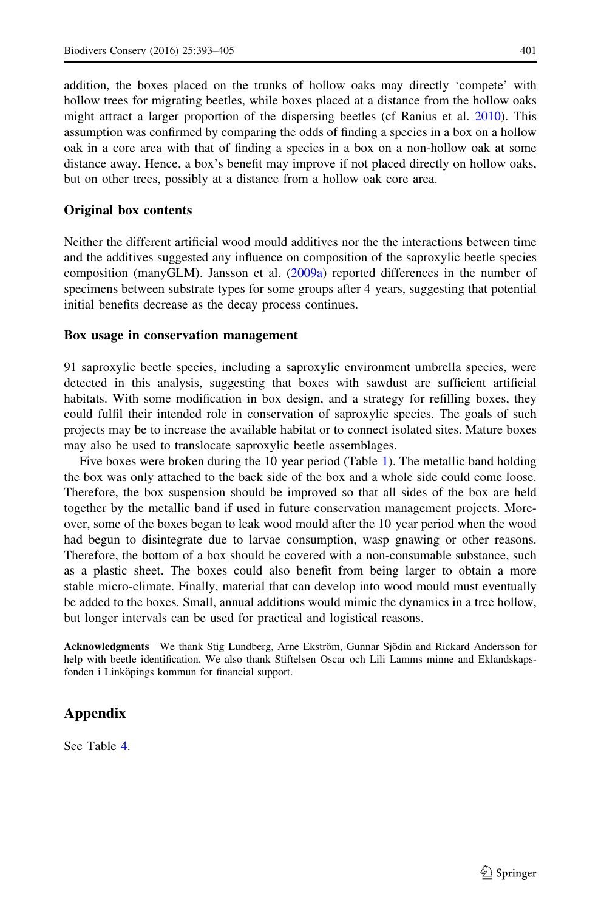<span id="page-8-0"></span>addition, the boxes placed on the trunks of hollow oaks may directly 'compete' with hollow trees for migrating beetles, while boxes placed at a distance from the hollow oaks might attract a larger proportion of the dispersing beetles (cf Ranius et al. [2010](#page-12-0)). This assumption was confirmed by comparing the odds of finding a species in a box on a hollow oak in a core area with that of finding a species in a box on a non-hollow oak at some distance away. Hence, a box's benefit may improve if not placed directly on hollow oaks, but on other trees, possibly at a distance from a hollow oak core area.

#### Original box contents

Neither the different artificial wood mould additives nor the the interactions between time and the additives suggested any influence on composition of the saproxylic beetle species composition (manyGLM). Jansson et al. ([2009a](#page-11-0)) reported differences in the number of specimens between substrate types for some groups after 4 years, suggesting that potential initial benefits decrease as the decay process continues.

#### Box usage in conservation management

91 saproxylic beetle species, including a saproxylic environment umbrella species, were detected in this analysis, suggesting that boxes with sawdust are sufficient artificial habitats. With some modification in box design, and a strategy for refilling boxes, they could fulfil their intended role in conservation of saproxylic species. The goals of such projects may be to increase the available habitat or to connect isolated sites. Mature boxes may also be used to translocate saproxylic beetle assemblages.

Five boxes were broken during the 10 year period (Table [1](#page-2-0)). The metallic band holding the box was only attached to the back side of the box and a whole side could come loose. Therefore, the box suspension should be improved so that all sides of the box are held together by the metallic band if used in future conservation management projects. Moreover, some of the boxes began to leak wood mould after the 10 year period when the wood had begun to disintegrate due to larvae consumption, wasp gnawing or other reasons. Therefore, the bottom of a box should be covered with a non-consumable substance, such as a plastic sheet. The boxes could also benefit from being larger to obtain a more stable micro-climate. Finally, material that can develop into wood mould must eventually be added to the boxes. Small, annual additions would mimic the dynamics in a tree hollow, but longer intervals can be used for practical and logistical reasons.

Acknowledgments We thank Stig Lundberg, Arne Ekström, Gunnar Sjödin and Rickard Andersson for help with beetle identification. We also thank Stiftelsen Oscar och Lili Lamms minne and Eklandskapsfonden i Linköpings kommun for financial support.

# Appendix

See Table [4](#page-9-0).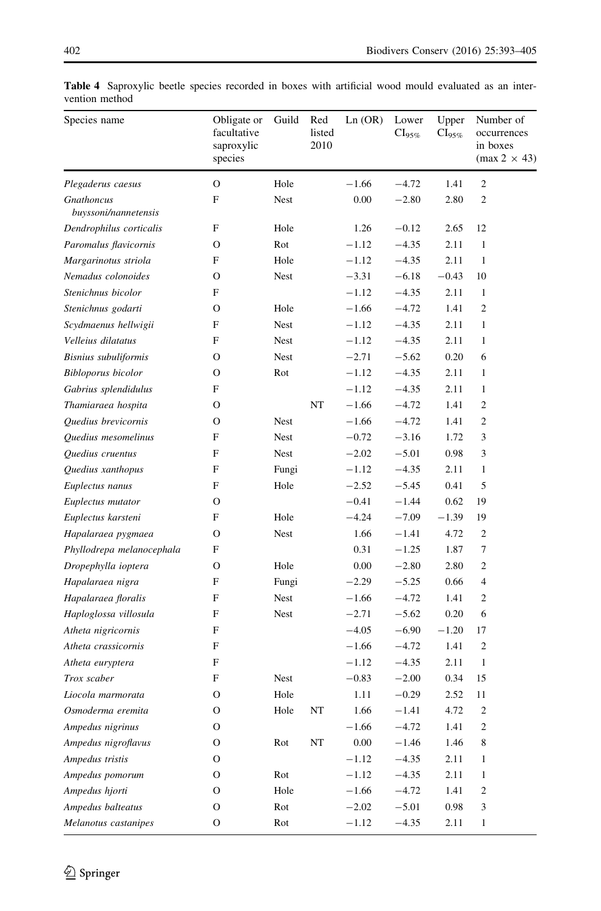| Species name                       | Obligate or<br>facultative<br>saproxylic<br>species | Guild       | Red<br>listed<br>2010 | Ln (OR) | Lower<br>$\text{Cl}_{95\%}$ | Upper<br>$CI95%$ | Number of<br>occurrences<br>in boxes<br>$(max 2 \times 43)$ |
|------------------------------------|-----------------------------------------------------|-------------|-----------------------|---------|-----------------------------|------------------|-------------------------------------------------------------|
| Plegaderus caesus                  | $\mathbf O$                                         | Hole        |                       | $-1.66$ | $-4.72$                     | 1.41             | $\mathbf{2}$                                                |
| Gnathoncus<br>buyssoni/nannetensis | F                                                   | Nest        |                       | 0.00    | $-2.80$                     | 2.80             | $\mathfrak{2}$                                              |
| Dendrophilus corticalis            | F                                                   | Hole        |                       | 1.26    | $-0.12$                     | 2.65             | 12                                                          |
| Paromalus flavicornis              | О                                                   | Rot         |                       | $-1.12$ | $-4.35$                     | 2.11             | $\mathbf{1}$                                                |
| Margarinotus striola               | F                                                   | Hole        |                       | $-1.12$ | $-4.35$                     | 2.11             | $\mathbf{1}$                                                |
| Nemadus colonoides                 | О                                                   | Nest        |                       | $-3.31$ | $-6.18$                     | $-0.43$          | 10                                                          |
| Stenichnus bicolor                 | F                                                   |             |                       | $-1.12$ | $-4.35$                     | 2.11             | 1                                                           |
| Stenichnus godarti                 | О                                                   | Hole        |                       | $-1.66$ | $-4.72$                     | 1.41             | $\mathfrak{2}$                                              |
| Scydmaenus hellwigii               | F                                                   | Nest        |                       | $-1.12$ | $-4.35$                     | 2.11             | $\mathbf{1}$                                                |
| Velleius dilatatus                 | F                                                   | Nest        |                       | $-1.12$ | $-4.35$                     | 2.11             | 1                                                           |
| Bisnius subuliformis               | О                                                   | Nest        |                       | $-2.71$ | $-5.62$                     | 0.20             | 6                                                           |
| Bibloporus bicolor                 | О                                                   | Rot         |                       | $-1.12$ | $-4.35$                     | 2.11             | $\mathbf{1}$                                                |
| Gabrius splendidulus               | F                                                   |             |                       | $-1.12$ | $-4.35$                     | 2.11             | $\mathbf{1}$                                                |
| Thamiaraea hospita                 | О                                                   |             | NT                    | $-1.66$ | $-4.72$                     | 1.41             | $\mathfrak{2}$                                              |
| Quedius brevicornis                | О                                                   | <b>Nest</b> |                       | $-1.66$ | $-4.72$                     | 1.41             | 2                                                           |
| Quedius mesomelinus                | F                                                   | Nest        |                       | $-0.72$ | $-3.16$                     | 1.72             | 3                                                           |
| Quedius cruentus                   | F                                                   | Nest        |                       | $-2.02$ | $-5.01$                     | 0.98             | 3                                                           |
| Quedius xanthopus                  | F                                                   | Fungi       |                       | $-1.12$ | $-4.35$                     | 2.11             | 1                                                           |
| Euplectus nanus                    | F                                                   | Hole        |                       | $-2.52$ | $-5.45$                     | 0.41             | 5                                                           |
| Euplectus mutator                  | О                                                   |             |                       | $-0.41$ | $-1.44$                     | 0.62             | 19                                                          |
| Euplectus karsteni                 | F                                                   | Hole        |                       | $-4.24$ | $-7.09$                     | $-1.39$          | 19                                                          |
| Hapalaraea pygmaea                 | О                                                   | Nest        |                       | 1.66    | $-1.41$                     | 4.72             | 2                                                           |
| Phyllodrepa melanocephala          | F                                                   |             |                       | 0.31    | $-1.25$                     | 1.87             | 7                                                           |
| Dropephylla ioptera                | O                                                   | Hole        |                       | 0.00    | $-2.80$                     | 2.80             | 2                                                           |
| Hapalaraea nigra                   | F                                                   | Fungi       |                       | $-2.29$ | $-5.25$                     | 0.66             | 4                                                           |
| Hapalaraea floralis                | F                                                   | Nest        |                       | $-1.66$ | $-4.72$                     | 1.41             | 2                                                           |
| Haploglossa villosula              | F                                                   | Nest        |                       | $-2.71$ | $-5.62$                     | 0.20             | 6                                                           |
| Atheta nigricornis                 | F                                                   |             |                       | $-4.05$ | $-6.90$                     | $-1.20$          | 17                                                          |
| Atheta crassicornis                | F                                                   |             |                       | $-1.66$ | $-4.72$                     | 1.41             | $\boldsymbol{2}$                                            |
| Atheta euryptera                   | F                                                   |             |                       | $-1.12$ | $-4.35$                     | 2.11             | 1                                                           |
| Trox scaber                        | F                                                   | Nest        |                       | $-0.83$ | $-2.00$                     | 0.34             | 15                                                          |
| Liocola marmorata                  | О                                                   | Hole        |                       | 1.11    | $-0.29$                     | 2.52             | 11                                                          |
| Osmoderma eremita                  | О                                                   | Hole        | NT                    | 1.66    | $-1.41$                     | 4.72             | $\mathfrak{2}$                                              |
| Ampedus nigrinus                   | O                                                   |             |                       | $-1.66$ | $-4.72$                     | 1.41             | $\overline{\mathbf{c}}$                                     |
| Ampedus nigroflavus                | О                                                   | Rot         | $_{\rm NT}$           | 0.00    | $-1.46$                     | 1.46             | $\,$ 8 $\,$                                                 |
| Ampedus tristis                    | О                                                   |             |                       | $-1.12$ | $-4.35$                     | 2.11             | $\mathbf{1}$                                                |
| Ampedus pomorum                    | О                                                   | Rot         |                       | $-1.12$ | $-4.35$                     | 2.11             | $\mathbf{1}$                                                |
| Ampedus hjorti                     | О                                                   | Hole        |                       | $-1.66$ | $-4.72$                     | 1.41             | $\boldsymbol{2}$                                            |
| Ampedus balteatus                  | О                                                   | Rot         |                       | $-2.02$ | $-5.01$                     | 0.98             | 3                                                           |
| Melanotus castanipes               | $\mathbf O$                                         | Rot         |                       | $-1.12$ | $-4.35$                     | 2.11             | $\mathbf{1}$                                                |

<span id="page-9-0"></span>Table 4 Saproxylic beetle species recorded in boxes with artificial wood mould evaluated as an intervention method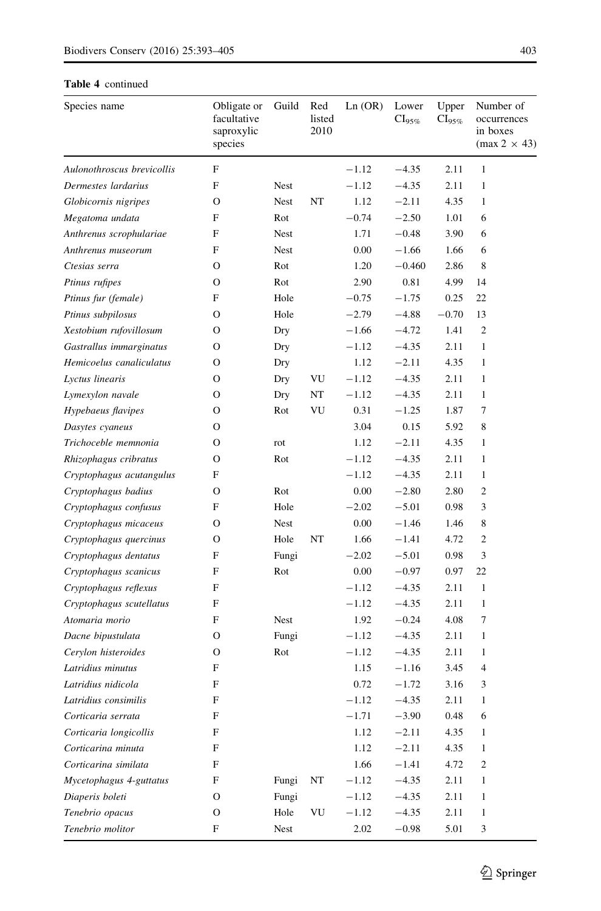#### Table 4 continued

| Species name               | Obligate or<br>facultative<br>saproxylic<br>species | Guild | Red<br>listed<br>2010 | Ln (OR) | Lower<br>$CI_{95\%}$ | Upper<br>$CI_{95\%}$ | Number of<br>occurrences<br>in boxes<br>$(max 2 \times 43)$ |
|----------------------------|-----------------------------------------------------|-------|-----------------------|---------|----------------------|----------------------|-------------------------------------------------------------|
| Aulonothroscus brevicollis | $\mathbf F$                                         |       |                       | $-1.12$ | $-4.35$              | 2.11                 | $\mathbf{1}$                                                |
| Dermestes lardarius        | F                                                   | Nest  |                       | $-1.12$ | $-4.35$              | 2.11                 | $\mathbf{1}$                                                |
| Globicornis nigripes       | O                                                   | Nest  | NT                    | 1.12    | $-2.11$              | 4.35                 | $\mathbf{1}$                                                |
| Megatoma undata            | F                                                   | Rot   |                       | $-0.74$ | $-2.50$              | 1.01                 | 6                                                           |
| Anthrenus scrophulariae    | F                                                   | Nest  |                       | 1.71    | $-0.48$              | 3.90                 | 6                                                           |
| Anthrenus museorum         | F                                                   | Nest  |                       | 0.00    | $-1.66$              | 1.66                 | 6                                                           |
| Ctesias serra              | O                                                   | Rot   |                       | 1.20    | $-0.460$             | 2.86                 | 8                                                           |
| Ptinus rufipes             | O                                                   | Rot   |                       | 2.90    | 0.81                 | 4.99                 | 14                                                          |
| Ptinus fur (female)        | F                                                   | Hole  |                       | $-0.75$ | $-1.75$              | 0.25                 | 22                                                          |
| Ptinus subpilosus          | O                                                   | Hole  |                       | $-2.79$ | $-4.88$              | $-0.70$              | 13                                                          |
| Xestobium rufovillosum     | O                                                   | Dry   |                       | $-1.66$ | $-4.72$              | 1.41                 | $\mathfrak{2}$                                              |
| Gastrallus immarginatus    | O                                                   | Dry   |                       | $-1.12$ | $-4.35$              | 2.11                 | 1                                                           |
| Hemicoelus canaliculatus   | O                                                   | Dry   |                       | 1.12    | $-2.11$              | 4.35                 | $\mathbf{1}$                                                |
| Lyctus linearis            | O                                                   | Dry   | VU                    | $-1.12$ | $-4.35$              | 2.11                 | $\mathbf{1}$                                                |
| Lymexylon navale           | O                                                   | Dry   | NT                    | $-1.12$ | $-4.35$              | 2.11                 | $\mathbf{1}$                                                |
| Hypebaeus flavipes         | O                                                   | Rot   | VU                    | 0.31    | $-1.25$              | 1.87                 | 7                                                           |
| Dasytes cyaneus            | O                                                   |       |                       | 3.04    | 0.15                 | 5.92                 | 8                                                           |
| Trichoceble memnonia       | O                                                   | rot   |                       | 1.12    | $-2.11$              | 4.35                 | 1                                                           |
| Rhizophagus cribratus      | O                                                   | Rot   |                       | $-1.12$ | $-4.35$              | 2.11                 | 1                                                           |
| Cryptophagus acutangulus   | F                                                   |       |                       | $-1.12$ | $-4.35$              | 2.11                 | $\mathbf{1}$                                                |
| Cryptophagus badius        | O                                                   | Rot   |                       | 0.00    | $-2.80$              | 2.80                 | $\mathfrak{2}$                                              |
| Cryptophagus confusus      | F                                                   | Hole  |                       | $-2.02$ | $-5.01$              | 0.98                 | 3                                                           |
| Cryptophagus micaceus      | O                                                   | Nest  |                       | 0.00    | $-1.46$              | 1.46                 | 8                                                           |
| Cryptophagus quercinus     | O                                                   | Hole  | NT                    | 1.66    | $-1.41$              | 4.72                 | 2                                                           |
| Cryptophagus dentatus      | F                                                   | Fungi |                       | $-2.02$ | $-5.01$              | 0.98                 | 3                                                           |
| Cryptophagus scanicus      | F                                                   | Rot   |                       | 0.00    | $-0.97$              | 0.97                 | 22                                                          |
| Cryptophagus reflexus      | F                                                   |       |                       | $-1.12$ | $-4.35$              | 2.11                 | $\mathbf{1}$                                                |
| Cryptophagus scutellatus   | F                                                   |       |                       | $-1.12$ | $-4.35$              | 2.11                 | $\mathbf{1}$                                                |
| Atomaria morio             | F                                                   | Nest  |                       | 1.92    | $-0.24$              | 4.08                 | 7                                                           |
| Dacne bipustulata          | O                                                   | Fungi |                       | $-1.12$ | $-4.35$              | 2.11                 | $\mathbf{1}$                                                |
| Cerylon histeroides        | O                                                   | Rot   |                       | $-1.12$ | $-4.35$              | 2.11                 | 1                                                           |
| Latridius minutus          | F                                                   |       |                       | 1.15    | $-1.16$              | 3.45                 | $\overline{4}$                                              |
| Latridius nidicola         | F                                                   |       |                       | 0.72    | $-1.72$              | 3.16                 | 3                                                           |
| Latridius consimilis       | F                                                   |       |                       | $-1.12$ | $-4.35$              | 2.11                 | $\mathbf{1}$                                                |
| Corticaria serrata         | F                                                   |       |                       | $-1.71$ | $-3.90$              | 0.48                 | 6                                                           |
| Corticaria longicollis     | F                                                   |       |                       | 1.12    | $-2.11$              | 4.35                 | $\mathbf{1}$                                                |
| Corticarina minuta         | F                                                   |       |                       | 1.12    | $-2.11$              | 4.35                 | 1                                                           |
| Corticarina similata       | F                                                   |       |                       | 1.66    | $-1.41$              | 4.72                 | 2                                                           |
| Mycetophagus 4-guttatus    | F                                                   | Fungi | NT                    | $-1.12$ | $-4.35$              | 2.11                 | 1                                                           |
| Diaperis boleti            | O                                                   | Fungi |                       | $-1.12$ | $-4.35$              | 2.11                 | 1                                                           |
| Tenebrio opacus            | O                                                   | Hole  | VU                    | $-1.12$ | $-4.35$              | 2.11                 | 1                                                           |
| Tenebrio molitor           | F                                                   | Nest  |                       | 2.02    | $-0.98$              | 5.01                 | 3                                                           |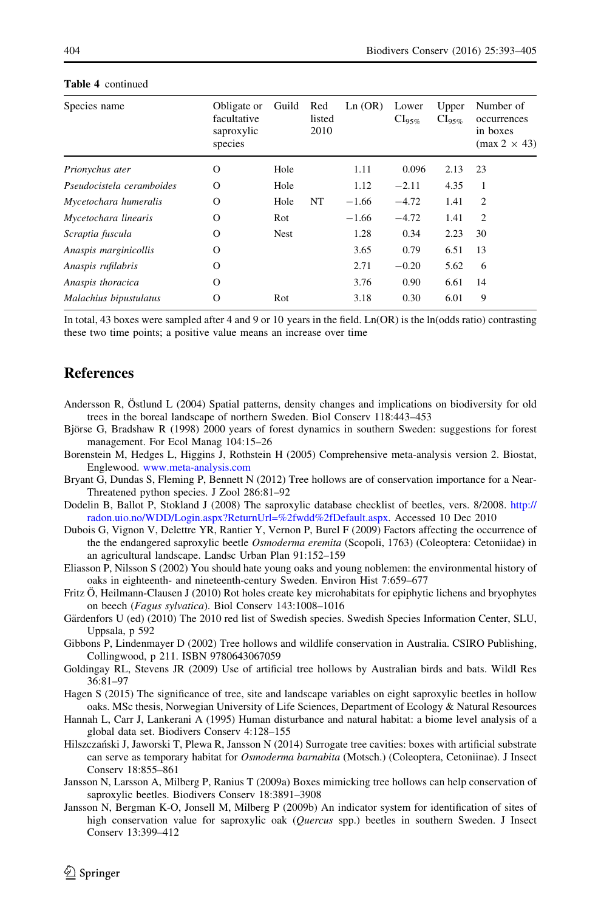| Species name              | Obligate or<br>facultative<br>saproxylic<br>species | Guild       | Red<br>listed<br>2010 | Ln (OR) | Lower<br>$\text{\rm Cl}_{95\%}$ | Upper<br>$Cl_{95\%}$ | Number of<br>occurrences<br>in boxes<br>$(max 2 \times 43)$ |
|---------------------------|-----------------------------------------------------|-------------|-----------------------|---------|---------------------------------|----------------------|-------------------------------------------------------------|
| Prionychus ater           | O                                                   | Hole        |                       | 1.11    | 0.096                           | 2.13                 | 23                                                          |
| Pseudocistela ceramboides | $\circ$                                             | Hole        |                       | 1.12    | $-2.11$                         | 4.35                 | 1                                                           |
| Mycetochara humeralis     | $\circ$                                             | Hole        | NT                    | $-1.66$ | $-4.72$                         | 1.41                 | $\overline{2}$                                              |
| Mycetochara linearis      | $\circ$                                             | Rot         |                       | $-1.66$ | $-4.72$                         | 1.41                 | $\overline{c}$                                              |
| Scraptia fuscula          | $\circ$                                             | <b>Nest</b> |                       | 1.28    | 0.34                            | 2.23                 | 30                                                          |
| Anaspis marginicollis     | O                                                   |             |                       | 3.65    | 0.79                            | 6.51                 | 13                                                          |
| Anaspis rufilabris        | $\circ$                                             |             |                       | 2.71    | $-0.20$                         | 5.62                 | 6                                                           |
| Anaspis thoracica         | O                                                   |             |                       | 3.76    | 0.90                            | 6.61                 | 14                                                          |
| Malachius bipustulatus    | O                                                   | Rot         |                       | 3.18    | 0.30                            | 6.01                 | 9                                                           |
|                           |                                                     |             |                       |         |                                 |                      |                                                             |

#### <span id="page-11-0"></span>Table 4 continued

In total, 43 boxes were sampled after 4 and 9 or 10 years in the field.  $Ln(OR)$  is the  $ln(odds ratio)$  contrasting these two time points; a positive value means an increase over time

### **References**

- Andersson R, Östlund L (2004) Spatial patterns, density changes and implications on biodiversity for old trees in the boreal landscape of northern Sweden. Biol Conserv 118:443–453
- Björse G, Bradshaw R (1998) 2000 years of forest dynamics in southern Sweden: suggestions for forest management. For Ecol Manag 104:15–26
- Borenstein M, Hedges L, Higgins J, Rothstein H (2005) Comprehensive meta-analysis version 2. Biostat, Englewood. [www.meta-analysis.com](http://www.meta-analysis.com)
- Bryant G, Dundas S, Fleming P, Bennett N (2012) Tree hollows are of conservation importance for a Near-Threatened python species. J Zool 286:81–92
- Dodelin B, Ballot P, Stokland J (2008) The saproxylic database checklist of beetles, vers. 8/2008. [http://](http://radon.uio.no/WDD/Login.aspx%3fReturnUrl%3d%252fwdd%252fDefault.aspx) [radon.uio.no/WDD/Login.aspx?ReturnUrl=%2fwdd%2fDefault.aspx.](http://radon.uio.no/WDD/Login.aspx%3fReturnUrl%3d%252fwdd%252fDefault.aspx) Accessed 10 Dec 2010
- Dubois G, Vignon V, Delettre YR, Rantier Y, Vernon P, Burel F (2009) Factors affecting the occurrence of the the endangered saproxylic beetle Osmoderma eremita (Scopoli, 1763) (Coleoptera: Cetoniidae) in an agricultural landscape. Landsc Urban Plan 91:152–159
- Eliasson P, Nilsson S (2002) You should hate young oaks and young noblemen: the environmental history of oaks in eighteenth- and nineteenth-century Sweden. Environ Hist 7:659–677
- Fritz Ö, Heilmann-Clausen J (2010) Rot holes create key microhabitats for epiphytic lichens and bryophytes on beech (Fagus sylvatica). Biol Conserv 143:1008–1016
- Gärdenfors U (ed) (2010) The 2010 red list of Swedish species. Swedish Species Information Center, SLU, Uppsala, p 592
- Gibbons P, Lindenmayer D (2002) Tree hollows and wildlife conservation in Australia. CSIRO Publishing, Collingwood, p 211. ISBN 9780643067059
- Goldingay RL, Stevens JR (2009) Use of artificial tree hollows by Australian birds and bats. Wildl Res 36:81–97
- Hagen S (2015) The significance of tree, site and landscape variables on eight saproxylic beetles in hollow oaks. MSc thesis, Norwegian University of Life Sciences, Department of Ecology & Natural Resources
- Hannah L, Carr J, Lankerani A (1995) Human disturbance and natural habitat: a biome level analysis of a global data set. Biodivers Conserv 4:128–155
- Hilszczański J, Jaworski T, Plewa R, Jansson N (2014) Surrogate tree cavities: boxes with artificial substrate can serve as temporary habitat for Osmoderma barnabita (Motsch.) (Coleoptera, Cetoniinae). J Insect Conserv 18:855–861
- Jansson N, Larsson A, Milberg P, Ranius T (2009a) Boxes mimicking tree hollows can help conservation of saproxylic beetles. Biodivers Conserv 18:3891–3908
- Jansson N, Bergman K-O, Jonsell M, Milberg P (2009b) An indicator system for identification of sites of high conservation value for saproxylic oak (Quercus spp.) beetles in southern Sweden. J Insect Conserv 13:399–412